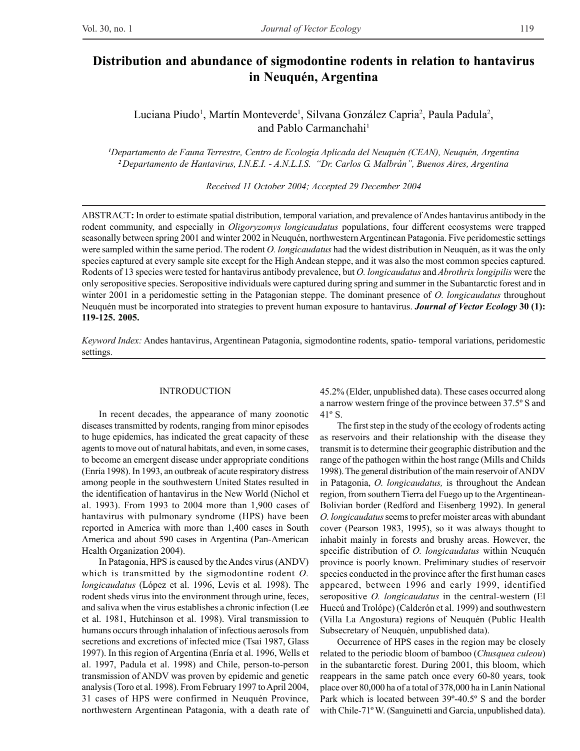# **Distribution and abundance of sigmodontine rodents in relation to hantavirus in Neuquén, Argentina**

Luciana Piudo<sup>1</sup>, Martín Monteverde<sup>1</sup>, Silvana González Capria<sup>2</sup>, Paula Padula<sup>2</sup>, and Pablo Carmanchahi<sup>1</sup>

*1 Departamento de Fauna Terrestre, Centro de Ecología Aplicada del Neuquén (CEAN), Neuquén, Argentina <sup>2</sup>Departamento de Hantavirus, I.N.E.I. - A.N.L.I.S. "Dr. Carlos G. Malbrán", Buenos Aires, Argentina*

*Received 11 October 2004; Accepted 29 December 2004*

ABSTRACT**:** In order to estimate spatial distribution, temporal variation, and prevalence of Andes hantavirus antibody in the rodent community, and especially in *Oligoryzomys longicaudatus* populations, four different ecosystems were trapped seasonally between spring 2001 and winter 2002 in Neuquén, northwestern Argentinean Patagonia. Five peridomestic settings were sampled within the same period. The rodent *O. longicaudatus* had the widest distribution in Neuquén, as it was the only species captured at every sample site except for the High Andean steppe, and it was also the most common species captured. Rodents of 13 species were tested for hantavirus antibody prevalence, but *O. longicaudatus* and *Abrothrix longipilis* were the only seropositive species. Seropositive individuals were captured during spring and summer in the Subantarctic forest and in winter 2001 in a peridomestic setting in the Patagonian steppe. The dominant presence of *O. longicaudatus* throughout Neuquén must be incorporated into strategies to prevent human exposure to hantavirus. *Journal of Vector Ecology* **30 (1): 119-125. 2005.**

*Keyword Index:* Andes hantavirus, Argentinean Patagonia, sigmodontine rodents, spatio- temporal variations, peridomestic settings.

## INTRODUCTION

In recent decades, the appearance of many zoonotic diseases transmitted by rodents, ranging from minor episodes to huge epidemics, has indicated the great capacity of these agents to move out of natural habitats, and even, in some cases, to become an emergent disease under appropriate conditions (Enría 1998). In 1993, an outbreak of acute respiratory distress among people in the southwestern United States resulted in the identification of hantavirus in the New World (Nichol et al. 1993). From 1993 to 2004 more than 1,900 cases of hantavirus with pulmonary syndrome (HPS) have been reported in America with more than 1,400 cases in South America and about 590 cases in Argentina (Pan-American Health Organization 2004).

In Patagonia, HPS is caused by the Andes virus (ANDV) which is transmitted by the sigmodontine rodent *O. longicaudatus* (López et al. 1996, Levis et al*.* 1998). The rodent sheds virus into the environment through urine, feces, and saliva when the virus establishes a chronic infection (Lee et al. 1981, Hutchinson et al. 1998). Viral transmission to humans occurs through inhalation of infectious aerosols from secretions and excretions of infected mice (Tsai 1987, Glass 1997). In this region of Argentina (Enría et al. 1996, Wells et al. 1997, Padula et al. 1998) and Chile, person-to-person transmission of ANDV was proven by epidemic and genetic analysis (Toro et al. 1998). From February 1997 to April 2004, 31 cases of HPS were confirmed in Neuquén Province, northwestern Argentinean Patagonia, with a death rate of 45.2% (Elder, unpublished data). These cases occurred along a narrow western fringe of the province between 37.5º S and  $41^\circ$  S.

The first step in the study of the ecology of rodents acting as reservoirs and their relationship with the disease they transmit is to determine their geographic distribution and the range of the pathogen within the host range (Mills and Childs 1998). The general distribution of the main reservoir of ANDV in Patagonia, *O. longicaudatus,* is throughout the Andean region, from southern Tierra del Fuego up to the Argentinean-Bolivian border (Redford and Eisenberg 1992). In general *O. longicaudatus* seems to prefer moister areas with abundant cover (Pearson 1983, 1995), so it was always thought to inhabit mainly in forests and brushy areas. However, the specific distribution of *O. longicaudatus* within Neuquén province is poorly known. Preliminary studies of reservoir species conducted in the province after the first human cases appeared, between 1996 and early 1999, identified seropositive *O. longicaudatus* in the central-western (El Huecú and Trolópe) (Calderón et al. 1999) and southwestern (Villa La Angostura) regions of Neuquén (Public Health Subsecretary of Neuquén, unpublished data).

Occurrence of HPS cases in the region may be closely related to the periodic bloom of bamboo (*Chusquea culeou*) in the subantarctic forest. During 2001, this bloom, which reappears in the same patch once every 60-80 years, took place over 80,000 ha of a total of 378,000 ha in Lanín National Park which is located between 39º-40.5º S and the border with Chile-71º W. (Sanguinetti and Garcia, unpublished data).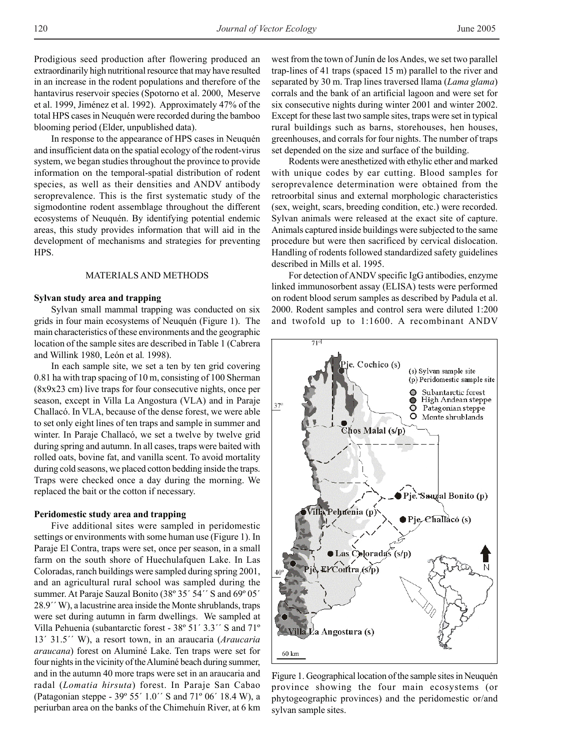Prodigious seed production after flowering produced an extraordinarily high nutritional resource that may have resulted in an increase in the rodent populations and therefore of the hantavirus reservoir species (Spotorno et al. 2000, Meserve et al. 1999, Jiménez et al. 1992). Approximately 47% of the total HPS cases in Neuquén were recorded during the bamboo blooming period (Elder, unpublished data).

In response to the appearance of HPS cases in Neuquén and insufficient data on the spatial ecology of the rodent-virus system, we began studies throughout the province to provide information on the temporal-spatial distribution of rodent species, as well as their densities and ANDV antibody seroprevalence. This is the first systematic study of the sigmodontine rodent assemblage throughout the different ecosystems of Neuquén. By identifying potential endemic areas, this study provides information that will aid in the development of mechanisms and strategies for preventing HPS.

# MATERIALS AND METHODS

## **Sylvan study area and trapping**

Sylvan small mammal trapping was conducted on six grids in four main ecosystems of Neuquén (Figure 1). The main characteristics of these environments and the geographic location of the sample sites are described in Table 1 (Cabrera and Willink 1980, León et al*.* 1998).

In each sample site, we set a ten by ten grid covering 0.81 ha with trap spacing of 10 m, consisting of 100 Sherman (8x9x23 cm) live traps for four consecutive nights, once per season, except in Villa La Angostura (VLA) and in Paraje Challacó. In VLA, because of the dense forest, we were able to set only eight lines of ten traps and sample in summer and winter. In Paraje Challacó, we set a twelve by twelve grid during spring and autumn. In all cases, traps were baited with rolled oats, bovine fat, and vanilla scent. To avoid mortality during cold seasons, we placed cotton bedding inside the traps. Traps were checked once a day during the morning. We replaced the bait or the cotton if necessary.

### **Peridomestic study area and trapping**

Five additional sites were sampled in peridomestic settings or environments with some human use (Figure 1). In Paraje El Contra, traps were set, once per season, in a small farm on the south shore of Huechulafquen Lake. In Las Coloradas, ranch buildings were sampled during spring 2001, and an agricultural rural school was sampled during the summer. At Paraje Sauzal Bonito (38° 35' 54'' S and 69° 05' 28.9´´ W), a lacustrine area inside the Monte shrublands, traps were set during autumn in farm dwellings. We sampled at Villa Pehuenia (subantarctic forest - 38º 51´ 3.3´´ S and 71º 13´ 31.5´´ W), a resort town, in an araucaria (*Araucaria araucana*) forest on Aluminé Lake. Ten traps were set for four nights in the vicinity of the Aluminé beach during summer, and in the autumn 40 more traps were set in an araucaria and radal (*Lomatia hirsuta*) forest. In Paraje San Cabao (Patagonian steppe - 39º 55´ 1.0´´ S and 71º 06´ 18.4 W), a periurban area on the banks of the Chimehuín River, at 6 km west from the town of Junín de los Andes, we set two parallel trap-lines of 41 traps (spaced 15 m) parallel to the river and separated by 30 m. Trap lines traversed llama (*Lama glama*) corrals and the bank of an artificial lagoon and were set for six consecutive nights during winter 2001 and winter 2002. Except for these last two sample sites, traps were set in typical rural buildings such as barns, storehouses, hen houses, greenhouses, and corrals for four nights. The number of traps set depended on the size and surface of the building.

Rodents were anesthetized with ethylic ether and marked with unique codes by ear cutting. Blood samples for seroprevalence determination were obtained from the retroorbital sinus and external morphologic characteristics (sex, weight, scars, breeding condition, etc.) were recorded. Sylvan animals were released at the exact site of capture. Animals captured inside buildings were subjected to the same procedure but were then sacrificed by cervical dislocation. Handling of rodents followed standardized safety guidelines described in Mills et al. 1995.

For detection of ANDV specific IgG antibodies, enzyme linked immunosorbent assay (ELISA) tests were performed on rodent blood serum samples as described by Padula et al. 2000. Rodent samples and control sera were diluted 1:200 and twofold up to 1:1600. A recombinant ANDV



Figure 1. Geographical location of the sample sites in Neuquén province showing the four main ecosystems (or phytogeographic provinces) and the peridomestic or/and sylvan sample sites.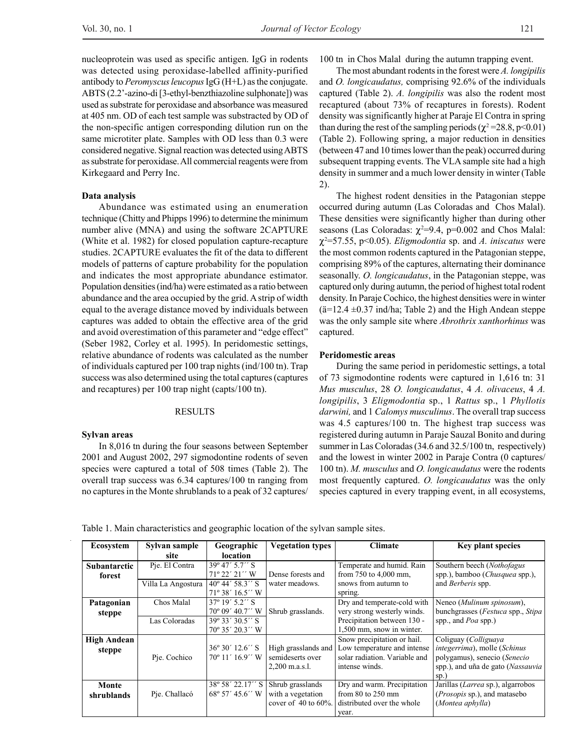nucleoprotein was used as specific antigen. IgG in rodents was detected using peroxidase-labelled affinity-purified antibody to *Peromyscus leucopus* IgG (H+L) as the conjugate. ABTS (2.2'-azino-di [3-ethyl-benzthiazoline sulphonate]) was used as substrate for peroxidase and absorbance was measured at 405 nm. OD of each test sample was substracted by OD of the non-specific antigen corresponding dilution run on the same microtiter plate. Samples with OD less than 0.3 were considered negative. Signal reaction was detected using ABTS as substrate for peroxidase. All commercial reagents were from Kirkegaard and Perry Inc.

#### **Data analysis**

Abundance was estimated using an enumeration technique (Chitty and Phipps 1996) to determine the minimum number alive (MNA) and using the software 2CAPTURE (White et al. 1982) for closed population capture-recapture studies. 2CAPTURE evaluates the fit of the data to different models of patterns of capture probability for the population and indicates the most appropriate abundance estimator. Population densities (ind/ha) were estimated as a ratio between abundance and the area occupied by the grid. A strip of width equal to the average distance moved by individuals between captures was added to obtain the effective area of the grid and avoid overestimation of this parameter and "edge effect" (Seber 1982, Corley et al. 1995). In peridomestic settings, relative abundance of rodents was calculated as the number of individuals captured per 100 trap nights (ind/100 tn). Trap success was also determined using the total captures (captures and recaptures) per 100 trap night (capts/100 tn).

#### RESULTS

#### **Sylvan areas**

In 8,016 tn during the four seasons between September 2001 and August 2002, 297 sigmodontine rodents of seven species were captured a total of 508 times (Table 2). The overall trap success was 6.34 captures/100 tn ranging from no captures in the Monte shrublands to a peak of 32 captures/

100 tn in Chos Malal during the autumn trapping event.

The most abundant rodents in the forest were *A. longipilis* and *O. longicaudatus,* comprising 92.6% of the individuals captured (Table 2). *A. longipilis* was also the rodent most recaptured (about 73% of recaptures in forests). Rodent density was significantly higher at Paraje El Contra in spring than during the rest of the sampling periods ( $\chi^2$ =28.8, p<0.01) (Table 2). Following spring, a major reduction in densities (between 47 and 10 times lower than the peak) occurred during subsequent trapping events. The VLA sample site had a high density in summer and a much lower density in winter (Table 2).

The highest rodent densities in the Patagonian steppe occurred during autumn (Las Coloradas and Chos Malal). These densities were significantly higher than during other seasons (Las Coloradas:  $\chi^2$ =9.4, p=0.002 and Chos Malal: χ2 =57.55, p<0.05). *Eligmodontia* sp. and *A. iniscatus* were the most common rodents captured in the Patagonian steppe, comprising 89% of the captures, alternating their dominance seasonally. *O. longicaudatus*, in the Patagonian steppe, was captured only during autumn, the period of highest total rodent density. In Paraje Cochico, the highest densities were in winter  $(\ddot{a}=12.4 \pm 0.37 \text{ ind/ha}; \text{Table 2})$  and the High Andean steppe was the only sample site where *Abrothrix xanthorhinus* was captured.

## **Peridomestic areas**

During the same period in peridomestic settings, a total of 73 sigmodontine rodents were captured in 1,616 tn: 31 *Mus musculus*, 28 *O. longicaudatus*, 4 *A. olivaceus*, 4 *A. longipilis*, 3 *Eligmodontia* sp., 1 *Rattus* sp., 1 *Phyllotis darwini,* and 1 *Calomys musculinus*. The overall trap success was 4.5 captures/100 tn. The highest trap success was registered during autumn in Paraje Sauzal Bonito and during summer in Las Coloradas (34.6 and 32.5/100 tn, respectively) and the lowest in winter 2002 in Paraje Contra (0 captures/ 100 tn). *M. musculus* and *O. longicaudatus* were the rodents most frequently captured. *O. longicaudatus* was the only species captured in every trapping event, in all ecosystems,

Table 1. Main characteristics and geographic location of the sylvan sample sites.

| <b>Ecosystem</b>    | Sylvan sample      | Geographic                | <b>Vegetation types</b>   | <b>Climate</b>                | <b>Key plant species</b>                         |
|---------------------|--------------------|---------------------------|---------------------------|-------------------------------|--------------------------------------------------|
|                     | site               | <b>location</b>           |                           |                               |                                                  |
| <b>Subantarctic</b> | Pie. El Contra     | $39^{\circ}47'5.7''$ S    |                           | Temperate and humid. Rain     | Southern beech (Nothofagus                       |
| forest              |                    | $71^{\circ} 22' 21''$ W   | Dense forests and         | from $750$ to $4,000$ mm.     | spp.), bamboo ( <i>Chusquea</i> spp.),           |
|                     | Villa La Angostura | $40^{\circ}$ 44' 58.3" S  | water meadows.            | snows from autumn to          | and <i>Berberis</i> spp.                         |
|                     |                    | $71^{\circ}38'16.5''$ W   |                           | spring.                       |                                                  |
| Patagonian          | Chos Malal         | $37^{\circ}$ 19' 5.2" S   |                           | Dry and temperate-cold with   | Neneo (Mulinum spinosum),                        |
| steppe              |                    | $70^{\circ}$ 09' 40.7" W  | Shrub grasslands.         | very strong westerly winds.   | bunchgrasses ( <i>Festuca</i> spp., <i>Stipa</i> |
|                     | Las Coloradas      | $39^{\circ} 33' 30.5''$ S |                           | Precipitation between 130 -   | spp., and $Poa$ spp.)                            |
|                     |                    | $70^{\circ}$ 35' 20.3" W  |                           | 1,500 mm, snow in winter.     |                                                  |
| <b>High Andean</b>  |                    |                           |                           | Snow precipitation or hail.   | Coliguay (Colliguaya                             |
| steppe              |                    | $36^{\circ}30'12.6''$ S   | High grasslands and       | Low temperature and intense   | <i>integerrima</i> ), molle ( <i>Schinus</i>     |
|                     | Pje. Cochico       | 70° 11' 16.9" W           | semideserts over          | solar radiation. Variable and | polygamus), senecio (Senecio                     |
|                     |                    |                           | 2,200 m.a.s.l.            | intense winds.                | spp.), and uña de gato (Nassauvia                |
|                     |                    |                           |                           |                               | $sp.$ )                                          |
| Monte               |                    | 38° 58′ 22.17′′ S         | Shrub grasslands          | Dry and warm. Precipitation   | Jarillas (Larrea sp.), algarrobos                |
| shrublands          | Pje. Challacó      | $68^{\circ}$ 57' 45.6'' W | with a vegetation         | from $80$ to $250$ mm         | ( <i>Prosopis</i> sp.), and matasebo             |
|                     |                    |                           | cover of $40$ to $60\%$ . | distributed over the whole    | (Montea aphylla)                                 |
|                     |                    |                           |                           | year.                         |                                                  |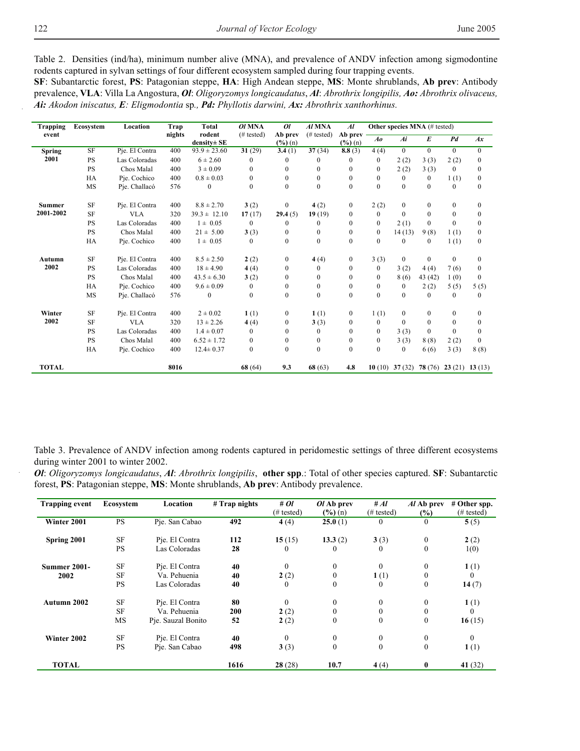Table 2. Densities (ind/ha), minimum number alive (MNA), and prevalence of ANDV infection among sigmodontine rodents captured in sylvan settings of four different ecosystem sampled during four trapping events.

**SF**: Subantarctic forest, **PS**: Patagonian steppe, **HA**: High Andean steppe, **MS**: Monte shrublands, **Ab prev**: Antibody prevalence, **VLA**: Villa La Angostura, *Ol*: *Oligoryzomys longicaudatus*, *Al*: *Abrothrix longipilis, Ao: Abrothrix olivaceus, Ai: Akodon iniscatus, E: Eligmodontia* sp*., Pd: Phyllotis darwini, Ax: Abrothrix xanthorhinus.*

| <b>Trapping</b> | Ecosystem | Location       | Trap   | Total                 | OI MNA               | O <sub>l</sub>                 | Al MNA               | $\overline{Al}$                | Other species MNA (# tested) |                                         |                  |                |                  |
|-----------------|-----------|----------------|--------|-----------------------|----------------------|--------------------------------|----------------------|--------------------------------|------------------------------|-----------------------------------------|------------------|----------------|------------------|
| event           |           |                | nights | rodent<br>density± SE | $(# \text{ tested})$ | Ab prev<br>$(\frac{6}{6})$ (n) | $(# \text{ tested})$ | Ab prev<br>$(\frac{6}{6})$ (n) | $A\boldsymbol{\theta}$       | Ai                                      | $\boldsymbol{E}$ | P <sub>d</sub> | Ax               |
| <b>Spring</b>   | SF        | Pje. El Contra | 400    | $93.9 \pm 23.60$      | 31(29)               | 3.4(1)                         | 37(34)               | 8.8(3)                         | 4(4)                         | $\mathbf{0}$                            | $\mathbf{0}$     | $\theta$       | $\Omega$         |
| 2001            | <b>PS</b> | Las Coloradas  | 400    | $6 \pm 2.60$          | $\theta$             | $\theta$                       | 0                    | $\theta$                       | $\bf{0}$                     | 2(2)                                    | 3(3)             | 2(2)           | $\mathbf{0}$     |
|                 | <b>PS</b> | Chos Malal     | 400    | $3 \pm 0.09$          | $\mathbf{0}$         | $\mathbf{0}$                   | $\boldsymbol{0}$     | $\mathbf{0}$                   | $\boldsymbol{0}$             | 2(2)                                    | 3(3)             | $\mathbf{0}$   | $\boldsymbol{0}$ |
|                 | HA        | Pie. Cochico   | 400    | $0.8 \pm 0.03$        | $\mathbf{0}$         | $\mathbf{0}$                   | $\mathbf{0}$         | $\mathbf{0}$                   | $\boldsymbol{0}$             | $\mathbf{0}$                            | $\bf{0}$         | 1(1)           | $\boldsymbol{0}$ |
|                 | MS        | Pie. Challacó  | 576    | $\mathbf{0}$          | $\theta$             | $\mathbf{0}$                   | $\Omega$             | $\theta$                       | $\boldsymbol{0}$             | $\mathbf{0}$                            | $\Omega$         | $\theta$       | $\mathbf{0}$     |
| <b>Summer</b>   | SF        | Pie. El Contra | 400    | $8.8 \pm 2.70$        | 3(2)                 | $\bf{0}$                       | 4(2)                 | $\boldsymbol{0}$               | 2(2)                         | $\mathbf{0}$                            | $\boldsymbol{0}$ | $\mathbf{0}$   | $\mathbf{0}$     |
| 2001-2002       | <b>SF</b> | <b>VLA</b>     | 320    | $39.3 \pm 12.10$      | 17(17)               | 29.4(5)                        | 19(19)               | $\mathbf{0}$                   | $\boldsymbol{0}$             | $\Omega$                                | $\mathbf{0}$     | $\mathbf{0}$   | $\mathbf{0}$     |
|                 | <b>PS</b> | Las Coloradas  | 400    | $1 \pm 0.05$          | 0                    | 0                              | $\mathbf{0}$         | $\Omega$                       | $\mathbf{0}$                 | 2(1)                                    | $\mathbf{0}$     | $\mathbf{0}$   | $\mathbf{0}$     |
|                 | <b>PS</b> | Chos Malal     | 400    | $21 \pm 5.00$         | 3(3)                 | $\mathbf{0}$                   | $\boldsymbol{0}$     | $\boldsymbol{0}$               | $\boldsymbol{0}$             | 14(13)                                  | 9(8)             | 1(1)           | $\boldsymbol{0}$ |
|                 | HA        | Pje. Cochico   | 400    | $1 \pm 0.05$          | $\mathbf{0}$         | $\mathbf{0}$                   | $\mathbf{0}$         | $\mathbf{0}$                   | $\boldsymbol{0}$             | $\mathbf{0}$                            | $\mathbf{0}$     | 1(1)           | $\mathbf{0}$     |
| Autumn          | SF        | Pie. El Contra | 400    | $8.5 \pm 2.50$        | 2(2)                 | $\boldsymbol{0}$               | 4(4)                 | $\boldsymbol{0}$               | 3(3)                         | $\mathbf{0}$                            | $\mathbf{0}$     | $\mathbf{0}$   | $\mathbf{0}$     |
| 2002            | <b>PS</b> | Las Coloradas  | 400    | $18 \pm 4.90$         | 4(4)                 | $\mathbf{0}$                   | $\mathbf{0}$         | $\mathbf{0}$                   | $\boldsymbol{0}$             | 3(2)                                    | 4(4)             | 7(6)           | $\mathbf{0}$     |
|                 | <b>PS</b> | Chos Malal     | 400    | $43.5 \pm 6.30$       | 3(2)                 | $\mathbf{0}$                   | $\mathbf{0}$         | $\Omega$                       | $\boldsymbol{0}$             | 8(6)                                    | 43 (42)          | 1(0)           | $\mathbf{0}$     |
|                 | HA        | Pie. Cochico   | 400    | $9.6 \pm 0.09$        | $\mathbf{0}$         | $\mathbf{0}$                   | $\boldsymbol{0}$     | $\mathbf{0}$                   | $\boldsymbol{0}$             | $\overline{0}$                          | 2(2)             | 5(5)           | 5(5)             |
|                 | MS        | Pie. Challacó  | 576    | $\mathbf{0}$          | $\mathbf{0}$         | $\mathbf{0}$                   | $\mathbf{0}$         | $\mathbf{0}$                   | $\boldsymbol{0}$             | $\mathbf{0}$                            | $\mathbf{0}$     | $\mathbf{0}$   | $\mathbf{0}$     |
| Winter          | SF        | Pie. El Contra | 400    | $2 \pm 0.02$          | 1(1)                 | $\mathbf{0}$                   | 1(1)                 | $\mathbf{0}$                   | 1(1)                         | $\mathbf{0}$                            | $\mathbf{0}$     | $\mathbf{0}$   | $\mathbf{0}$     |
| 2002            | <b>SF</b> | <b>VLA</b>     | 320    | $13 \pm 2.26$         | 4(4)                 | $\mathbf{0}$                   | 3(3)                 | $\mathbf{0}$                   | $\boldsymbol{0}$             | $\mathbf{0}$                            | $\mathbf{0}$     | $\mathbf{0}$   | $\boldsymbol{0}$ |
|                 | <b>PS</b> | Las Coloradas  | 400    | $1.4 \pm 0.07$        | $\mathbf{0}$         | $\Omega$                       | $\mathbf{0}$         | $\Omega$                       | $\mathbf{0}$                 | 3(3)                                    | $\Omega$         | $\Omega$       | $\Omega$         |
|                 | <b>PS</b> | Chos Malal     | 400    | $6.52 \pm 1.72$       | $\mathbf{0}$         | $\mathbf{0}$                   | $\mathbf{0}$         | $\mathbf{0}$                   | $\boldsymbol{0}$             | 3(3)                                    | 8(8)             | 2(2)           | $\mathbf{0}$     |
|                 | HA        | Pje. Cochico   | 400    | $12.4 \pm 0.37$       | $\mathbf{0}$         | $\mathbf{0}$                   | $\boldsymbol{0}$     | $\mathbf{0}$                   | $\boldsymbol{0}$             | $\mathbf{0}$                            | 6(6)             | 3(3)           | 8(8)             |
| <b>TOTAL</b>    |           |                | 8016   |                       | 68(64)               | 9.3                            | 68(63)               | 4.8                            |                              | 10 (10) 37 (32) 78 (76) 23 (21) 13 (13) |                  |                |                  |

Table 3. Prevalence of ANDV infection among rodents captured in peridomestic settings of three different ecosystems during winter 2001 to winter 2002.

*Ol*: *Oligoryzomys longicaudatus*, *Al*: *Abrothrix longipilis*, **other spp**.: Total of other species captured. **SF**: Subantarctic forest, **PS**: Patagonian steppe, **MS**: Monte shrublands, **Ab prev**: Antibody prevalence.

| <b>Trapping event</b> | Ecosystem | Location           | $#$ Trap nights | #0l<br>$(\# \text{ tested})$ | Ol Ab prev<br>$(\frac{6}{6})$ (n) | # $Al$<br>$(\# \text{ tested})$ | Al Ab prev<br>$(\%)$ | # Other spp.<br>$(\# \text{ tested})$ |
|-----------------------|-----------|--------------------|-----------------|------------------------------|-----------------------------------|---------------------------------|----------------------|---------------------------------------|
| Winter 2001           | <b>PS</b> | Pie. San Cabao     | 492             | 4 $(4)$                      | 25.0(1)                           | $\mathbf{0}$                    | $\mathbf{0}$         | 5(5)                                  |
| Spring 2001           | <b>SF</b> | Pie. El Contra     | 112             | 15(15)                       | 13.3(2)                           | 3(3)                            | $\boldsymbol{0}$     | 2(2)                                  |
|                       | <b>PS</b> | Las Coloradas      | 28              | $\Omega$                     | $\theta$                          | $\Omega$                        | $\theta$             | 1(0)                                  |
| <b>Summer 2001-</b>   | <b>SF</b> | Pie. El Contra     | 40              | $\mathbf{0}$                 | $\mathbf{0}$                      | $\Omega$                        | $\mathbf{0}$         | 1(1)                                  |
| 2002                  | <b>SF</b> | Va. Pehuenia       | 40              | 2(2)                         | $\boldsymbol{0}$                  | 1(1)                            | $\mathbf{0}$         | $\Omega$                              |
|                       | <b>PS</b> | Las Coloradas      | 40              | $\bf{0}$                     | $\mathbf{0}$                      | $\Omega$                        | $\mathbf{0}$         | 14(7)                                 |
| Autumn 2002           | <b>SF</b> | Pje. El Contra     | 80              | $\mathbf{0}$                 | $\mathbf{0}$                      | $\mathbf{0}$                    | $\mathbf{0}$         | 1(1)                                  |
|                       | <b>SF</b> | Va. Pehuenia       | 200             | 2(2)                         | $\mathbf{0}$                      | 0                               | $\mathbf{0}$         | $\theta$                              |
|                       | MS        | Pje. Sauzal Bonito | 52              | 2(2)                         | $\boldsymbol{0}$                  | $\mathbf{0}$                    | $\mathbf{0}$         | 16(15)                                |
| Winter 2002           | <b>SF</b> | Pje. El Contra     | 40              | $\mathbf{0}$                 | $\boldsymbol{0}$                  | $\mathbf{0}$                    | $\mathbf{0}$         | $\mathbf{0}$                          |
|                       | <b>PS</b> | Pie. San Cabao     | 498             | 3(3)                         | $\boldsymbol{0}$                  | $\mathbf{0}$                    | $\mathbf{0}$         | 1(1)                                  |
| <b>TOTAL</b>          |           |                    | 1616            | 28(28)                       | 10.7                              | 4(4)                            | $\mathbf{0}$         | 41 $(32)$                             |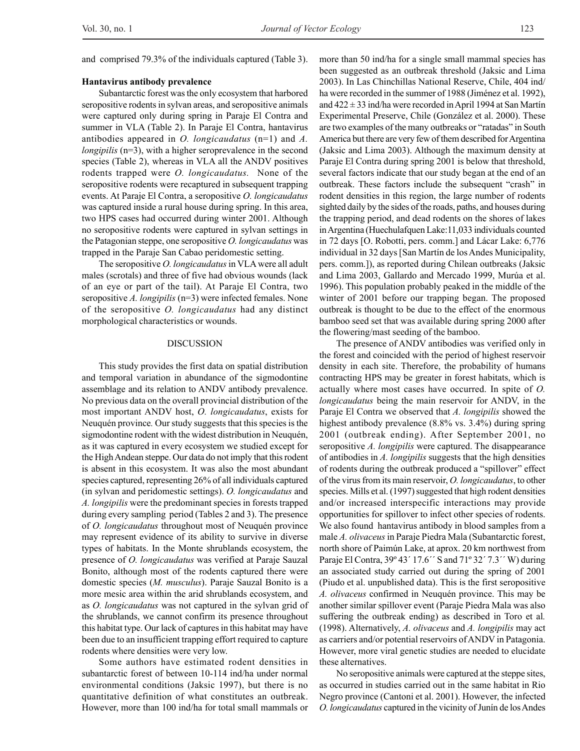and comprised 79.3% of the individuals captured (Table 3).

## **Hantavirus antibody prevalence**

Subantarctic forest was the only ecosystem that harbored seropositive rodents in sylvan areas, and seropositive animals were captured only during spring in Paraje El Contra and summer in VLA (Table 2). In Paraje El Contra, hantavirus antibodies appeared in *O. longicaudatus* (n=1) and *A. longipilis* (n=3), with a higher seroprevalence in the second species (Table 2), whereas in VLA all the ANDV positives rodents trapped were *O. longicaudatus.* None of the seropositive rodents were recaptured in subsequent trapping events. At Paraje El Contra, a seropositive *O. longicaudatus* was captured inside a rural house during spring. In this area, two HPS cases had occurred during winter 2001. Although no seropositive rodents were captured in sylvan settings in the Patagonian steppe, one seropositive *O. longicaudatus* was trapped in the Paraje San Cabao peridomestic setting.

The seropositive *O. longicaudatus* in VLA were all adult males (scrotals) and three of five had obvious wounds (lack of an eye or part of the tail). At Paraje El Contra, two seropositive *A. longipilis* (n=3) were infected females. None of the seropositive *O. longicaudatus* had any distinct morphological characteristics or wounds.

# DISCUSSION

This study provides the first data on spatial distribution and temporal variation in abundance of the sigmodontine assemblage and its relation to ANDV antibody prevalence. No previous data on the overall provincial distribution of the most important ANDV host, *O. longicaudatus*, exists for Neuquén province*.* Our study suggests that this species is the sigmodontine rodent with the widest distribution in Neuquén, as it was captured in every ecosystem we studied except for the High Andean steppe. Our data do not imply that this rodent is absent in this ecosystem. It was also the most abundant species captured, representing 26% of all individuals captured (in sylvan and peridomestic settings). *O. longicaudatus* and *A. longipilis* were the predominant species in forests trapped during every sampling period (Tables 2 and 3). The presence of *O. longicaudatus* throughout most of Neuquén province may represent evidence of its ability to survive in diverse types of habitats. In the Monte shrublands ecosystem, the presence of *O. longicaudatus* was verified at Paraje Sauzal Bonito, although most of the rodents captured there were domestic species (*M. musculus*). Paraje Sauzal Bonito is a more mesic area within the arid shrublands ecosystem, and as *O. longicaudatus* was not captured in the sylvan grid of the shrublands, we cannot confirm its presence throughout this habitat type. Our lack of captures in this habitat may have been due to an insufficient trapping effort required to capture rodents where densities were very low.

Some authors have estimated rodent densities in subantarctic forest of between 10-114 ind/ha under normal environmental conditions (Jaksic 1997), but there is no quantitative definition of what constitutes an outbreak. However, more than 100 ind/ha for total small mammals or more than 50 ind/ha for a single small mammal species has been suggested as an outbreak threshold (Jaksic and Lima 2003). In Las Chinchillas National Reserve, Chile, 404 ind/ ha were recorded in the summer of 1988 (Jiménez et al. 1992), and 422 ± 33 ind/ha were recorded in April 1994 at San Martín Experimental Preserve, Chile (González et al. 2000). These are two examples of the many outbreaks or "ratadas" in South America but there are very few of them described for Argentina (Jaksic and Lima 2003). Although the maximum density at Paraje El Contra during spring 2001 is below that threshold, several factors indicate that our study began at the end of an outbreak. These factors include the subsequent "crash" in rodent densities in this region, the large number of rodents sighted daily by the sides of the roads, paths, and houses during the trapping period, and dead rodents on the shores of lakes in Argentina (Huechulafquen Lake:11,033 individuals counted in 72 days [O. Robotti, pers. comm.] and Lácar Lake: 6,776 individual in 32 days [San Martín de los Andes Municipality, pers. comm.]), as reported during Chilean outbreaks (Jaksic and Lima 2003, Gallardo and Mercado 1999, Murúa et al. 1996). This population probably peaked in the middle of the winter of 2001 before our trapping began. The proposed outbreak is thought to be due to the effect of the enormous bamboo seed set that was available during spring 2000 after the flowering/mast seeding of the bamboo.

The presence of ANDV antibodies was verified only in the forest and coincided with the period of highest reservoir density in each site. Therefore, the probability of humans contracting HPS may be greater in forest habitats, which is actually where most cases have occurred. In spite of *O. longicaudatus* being the main reservoir for ANDV, in the Paraje El Contra we observed that *A. longipilis* showed the highest antibody prevalence (8.8% vs. 3.4%) during spring 2001 (outbreak ending). After September 2001, no seropositive *A. longipilis* were captured. The disappearance of antibodies in *A. longipilis* suggests that the high densities of rodents during the outbreak produced a "spillover" effect of the virus from its main reservoir, *O. longicaudatus*, to other species. Mills et al. (1997) suggested that high rodent densities and/or increased interspecific interactions may provide opportunities for spillover to infect other species of rodents. We also found hantavirus antibody in blood samples from a male *A. olivaceus* in Paraje Piedra Mala (Subantarctic forest, north shore of Paimún Lake, at aprox. 20 km northwest from Paraje El Contra, 39º 43´ 17.6´´ S and 71º 32´ 7.3´´ W) during an associated study carried out during the spring of 2001 (Piudo et al. unpublished data). This is the first seropositive *A. olivaceus* confirmed in Neuquén province. This may be another similar spillover event (Paraje Piedra Mala was also suffering the outbreak ending) as described in Toro et al*.* (1998). Alternatively, *A. olivaceus* and *A. longipilis* may act as carriers and/or potential reservoirs of ANDV in Patagonia. However, more viral genetic studies are needed to elucidate these alternatives.

No seropositive animals were captured at the steppe sites, as occurred in studies carried out in the same habitat in Rio Negro province (Cantoni et al. 2001). However, the infected *O. longicaudatus* captured in the vicinity of Junín de los Andes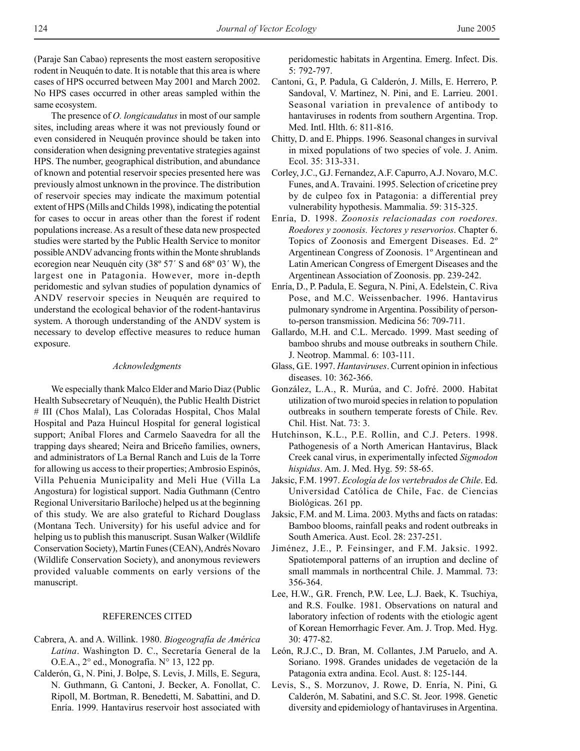(Paraje San Cabao) represents the most eastern seropositive rodent in Neuquén to date. It is notable that this area is where cases of HPS occurred between May 2001 and March 2002. No HPS cases occurred in other areas sampled within the same ecosystem.

The presence of *O. longicaudatus* in most of our sample sites, including areas where it was not previously found or even considered in Neuquén province should be taken into consideration when designing preventative strategies against HPS. The number, geographical distribution, and abundance of known and potential reservoir species presented here was previously almost unknown in the province. The distribution of reservoir species may indicate the maximum potential extent of HPS (Mills and Childs 1998), indicating the potential for cases to occur in areas other than the forest if rodent populations increase. As a result of these data new prospected studies were started by the Public Health Service to monitor possible ANDV advancing fronts within the Monte shrublands ecoregion near Neuquén city (38º 57´ S and 68º 03´ W), the largest one in Patagonia. However, more in-depth peridomestic and sylvan studies of population dynamics of ANDV reservoir species in Neuquén are required to understand the ecological behavior of the rodent-hantavirus system. A thorough understanding of the ANDV system is necessary to develop effective measures to reduce human exposure.

## *Acknowledgments*

We especially thank Malco Elder and Mario Diaz (Public Health Subsecretary of Neuquén), the Public Health District # III (Chos Malal), Las Coloradas Hospital, Chos Malal Hospital and Paza Huincul Hospital for general logistical support; Aníbal Flores and Carmelo Saavedra for all the trapping days sheared; Neira and Briceño families, owners, and administrators of La Bernal Ranch and Luis de la Torre for allowing us access to their properties; Ambrosio Espinós, Villa Pehuenia Municipality and Meli Hue (Villa La Angostura) for logistical support. Nadia Guthmann (Centro Regional Universitario Bariloche) helped us at the beginning of this study. We are also grateful to Richard Douglass (Montana Tech. University) for his useful advice and for helping us to publish this manuscript. Susan Walker (Wildlife Conservation Society), Martín Funes (CEAN), Andrés Novaro (Wildlife Conservation Society), and anonymous reviewers provided valuable comments on early versions of the manuscript.

## REFERENCES CITED

- Cabrera, A. and A. Willink. 1980. *Biogeografía de América Latina*. Washington D. C., Secretaría General de la O.E.A., 2° ed., Monografía. N° 13, 122 pp.
- Calderón, G., N. Pini, J. Bolpe, S. Levis, J. Mills, E. Segura, N. Guthmann, G. Cantoni, J. Becker, A. Fonollat, C. Ripoll, M. Bortman, R. Benedetti, M. Sabattini, and D. Enría. 1999. Hantavirus reservoir host associated with

peridomestic habitats in Argentina. Emerg. Infect. Dis. 5: 792-797.

- Cantoni, G., P. Padula, G. Calderón, J. Mills, E. Herrero, P. Sandoval, V. Martinez, N. Pini, and E. Larrieu. 2001. Seasonal variation in prevalence of antibody to hantaviruses in rodents from southern Argentina. Trop. Med. Intl. Hlth. 6: 811-816.
- Chitty, D. and E. Phipps. 1996. Seasonal changes in survival in mixed populations of two species of vole. J. Anim. Ecol. 35: 313-331.
- Corley, J.C., G.J. Fernandez, A.F. Capurro, A.J. Novaro, M.C. Funes, and A. Travaini. 1995. Selection of cricetine prey by de culpeo fox in Patagonia: a differential prey vulnerability hypothesis. Mammalia. 59: 315-325.
- Enría, D. 1998. *Zoonosis relacionadas con roedores. Roedores y zoonosis. Vectores y reservorios*. Chapter 6. Topics of Zoonosis and Emergent Diseases. Ed. 2º Argentinean Congress of Zoonosis. 1º Argentinean and Latin American Congress of Emergent Diseases and the Argentinean Association of Zoonosis. pp. 239-242.
- Enría, D., P. Padula, E. Segura, N. Pini, A. Edelstein, C. Riva Pose, and M.C. Weissenbacher. 1996. Hantavirus pulmonary syndrome in Argentina. Possibility of personto-person transmission. Medicina 56: 709-711.
- Gallardo, M.H. and C.L. Mercado. 1999. Mast seeding of bamboo shrubs and mouse outbreaks in southern Chile. J. Neotrop. Mammal. 6: 103-111.
- Glass, G.E. 1997. *Hantaviruses*. Current opinion in infectious diseases. 10: 362-366.
- González, L.A., R. Murúa, and C. Jofré. 2000. Habitat utilization of two muroid species in relation to population outbreaks in southern temperate forests of Chile. Rev. Chil. Hist. Nat. 73: 3.
- Hutchinson, K.L., P.E. Rollin, and C.J. Peters. 1998. Pathogenesis of a North American Hantavirus, Black Creek canal virus, in experimentally infected *Sigmodon hispidus*. Am. J. Med. Hyg. 59: 58-65.
- Jaksic, F.M. 1997. *Ecología de los vertebrados de Chile*. Ed. Universidad Católica de Chile, Fac. de Ciencias Biológicas. 261 pp.
- Jaksic, F.M. and M. Lima. 2003. Myths and facts on ratadas: Bamboo blooms, rainfall peaks and rodent outbreaks in South America. Aust. Ecol. 28: 237-251.
- Jiménez, J.E., P. Feinsinger, and F.M. Jaksic. 1992. Spatiotemporal patterns of an irruption and decline of small mammals in northcentral Chile. J. Mammal. 73: 356-364.
- Lee, H.W., G.R. French, P.W. Lee, L.J. Baek, K. Tsuchiya, and R.S. Foulke. 1981. Observations on natural and laboratory infection of rodents with the etiologic agent of Korean Hemorrhagic Fever. Am. J. Trop. Med. Hyg. 30: 477-82.
- León, R.J.C., D. Bran, M. Collantes, J.M Paruelo, and A. Soriano. 1998. Grandes unidades de vegetación de la Patagonia extra andina. Ecol. Aust. 8: 125-144.
- Levis, S., S. Morzunov, J. Rowe, D. Enría, N. Pini, G. Calderón, M. Sabatini, and S.C. St. Jeor. 1998. Genetic diversity and epidemiology of hantaviruses in Argentina.